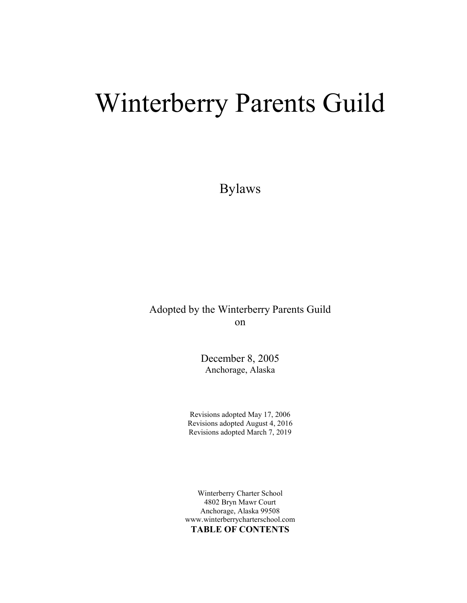# Winterberry Parents Guild

Bylaws

Adopted by the Winterberry Parents Guild on

> December 8, 2005 Anchorage, Alaska

Revisions adopted May 17, 2006 Revisions adopted August 4, 2016 Revisions adopted March 7, 2019

Winterberry Charter School 4802 Bryn Mawr Court Anchorage, Alaska 99508 www.winterberrycharterschool.com TABLE OF CONTENTS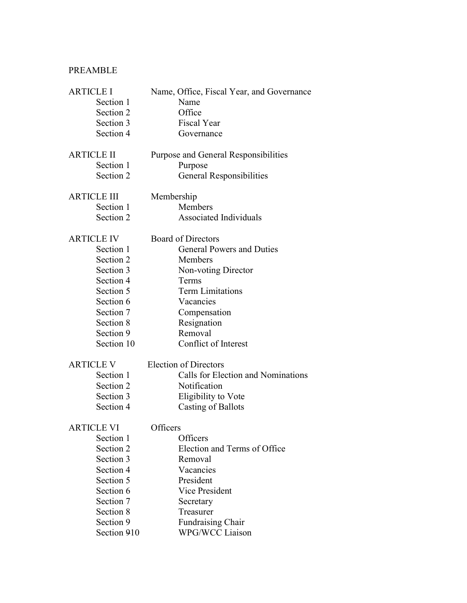# PREAMBLE

| <b>ARTICLE I</b>   | Name, Office, Fiscal Year, and Governance |
|--------------------|-------------------------------------------|
| Section 1          | Name                                      |
| Section 2          | Office                                    |
| Section 3          | <b>Fiscal Year</b>                        |
| Section 4          | Governance                                |
| <b>ARTICLE II</b>  | Purpose and General Responsibilities      |
| Section 1          | Purpose                                   |
| Section 2          | <b>General Responsibilities</b>           |
| <b>ARTICLE III</b> | Membership                                |
| Section 1          | Members                                   |
| Section 2          | <b>Associated Individuals</b>             |
| <b>ARTICLE IV</b>  | <b>Board of Directors</b>                 |
| Section 1          | <b>General Powers and Duties</b>          |
| Section 2          | Members                                   |
| Section 3          | Non-voting Director                       |
| Section 4          | Terms                                     |
| Section 5          | <b>Term Limitations</b>                   |
| Section 6          | Vacancies                                 |
| Section 7          | Compensation                              |
| Section 8          | Resignation                               |
| Section 9          | Removal                                   |
| Section 10         | Conflict of Interest                      |
| <b>ARTICLE V</b>   | <b>Election of Directors</b>              |
| Section 1          | Calls for Election and Nominations        |
| Section 2          | Notification                              |
| Section 3          | Eligibility to Vote                       |
| Section 4          | <b>Casting of Ballots</b>                 |
| ARTICLE VI         | Officers                                  |
| Section 1          | Officers                                  |
| Section 2          | Election and Terms of Office              |
| Section 3          | Removal                                   |
| Section 4          | Vacancies                                 |
| Section 5          | President                                 |
| Section 6          | <b>Vice President</b>                     |
| Section 7          | Secretary                                 |
| Section 8          | Treasurer                                 |
| Section 9          | Fundraising Chair                         |
| Section 910        | <b>WPG/WCC Liaison</b>                    |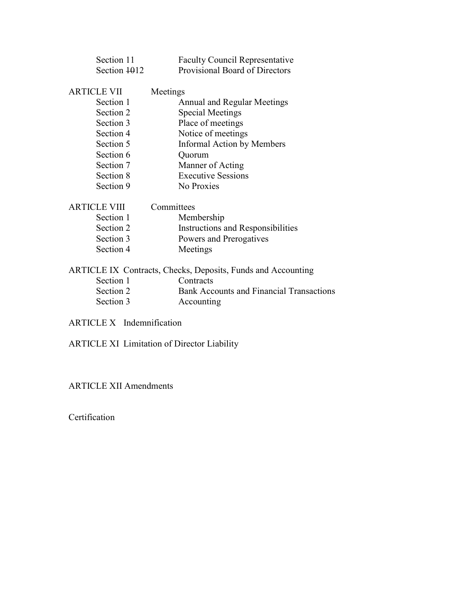| Section 11          | <b>Faculty Council Representative</b>                        |
|---------------------|--------------------------------------------------------------|
| Section 1012        | <b>Provisional Board of Directors</b>                        |
|                     |                                                              |
| <b>ARTICLE VII</b>  | Meetings                                                     |
| Section 1           | <b>Annual and Regular Meetings</b>                           |
| Section 2           | <b>Special Meetings</b>                                      |
| Section 3           | Place of meetings                                            |
| Section 4           | Notice of meetings                                           |
| Section 5           | Informal Action by Members                                   |
| Section 6           | Quorum                                                       |
| Section 7           | Manner of Acting                                             |
| Section 8           | <b>Executive Sessions</b>                                    |
| Section 9           | No Proxies                                                   |
| <b>ARTICLE VIII</b> | Committees                                                   |
| Section 1           | Membership                                                   |
| Section 2           | <b>Instructions and Responsibilities</b>                     |
| Section 3           | Powers and Prerogatives                                      |
| Section 4           | Meetings                                                     |
|                     | ARTICLE IX Contracts, Checks, Deposits, Funds and Accounting |
| Section 1           | Contracts                                                    |
| Section 2           | <b>Bank Accounts and Financial Transactions</b>              |
| Section 3           | Accounting                                                   |
|                     |                                                              |

ARTICLE X Indemnification

ARTICLE XI Limitation of Director Liability

ARTICLE XII Amendments

Certification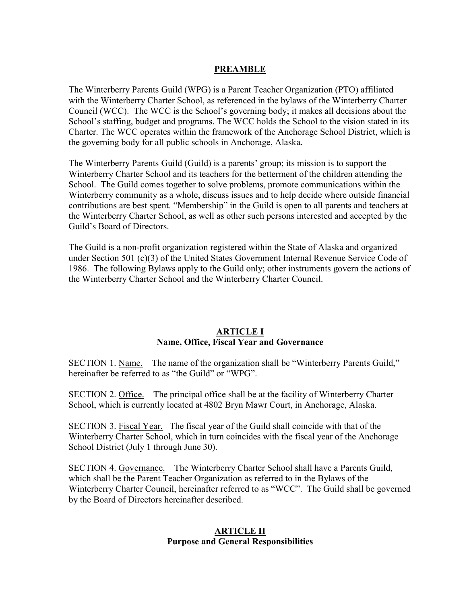#### **PREAMBLE**

The Winterberry Parents Guild (WPG) is a Parent Teacher Organization (PTO) affiliated with the Winterberry Charter School, as referenced in the bylaws of the Winterberry Charter Council (WCC). The WCC is the School's governing body; it makes all decisions about the School's staffing, budget and programs. The WCC holds the School to the vision stated in its Charter. The WCC operates within the framework of the Anchorage School District, which is the governing body for all public schools in Anchorage, Alaska.

The Winterberry Parents Guild (Guild) is a parents' group; its mission is to support the Winterberry Charter School and its teachers for the betterment of the children attending the School. The Guild comes together to solve problems, promote communications within the Winterberry community as a whole, discuss issues and to help decide where outside financial contributions are best spent. "Membership" in the Guild is open to all parents and teachers at the Winterberry Charter School, as well as other such persons interested and accepted by the Guild's Board of Directors.

The Guild is a non-profit organization registered within the State of Alaska and organized under Section 501 (c)(3) of the United States Government Internal Revenue Service Code of 1986. The following Bylaws apply to the Guild only; other instruments govern the actions of the Winterberry Charter School and the Winterberry Charter Council.

#### ARTICLE I Name, Office, Fiscal Year and Governance

SECTION 1. Name. The name of the organization shall be "Winterberry Parents Guild," hereinafter be referred to as "the Guild" or "WPG".

SECTION 2. Office. The principal office shall be at the facility of Winterberry Charter School, which is currently located at 4802 Bryn Mawr Court, in Anchorage, Alaska.

SECTION 3. Fiscal Year. The fiscal year of the Guild shall coincide with that of the Winterberry Charter School, which in turn coincides with the fiscal year of the Anchorage School District (July 1 through June 30).

SECTION 4. Governance. The Winterberry Charter School shall have a Parents Guild, which shall be the Parent Teacher Organization as referred to in the Bylaws of the Winterberry Charter Council, hereinafter referred to as "WCC". The Guild shall be governed by the Board of Directors hereinafter described.

#### ARTICLE II Purpose and General Responsibilities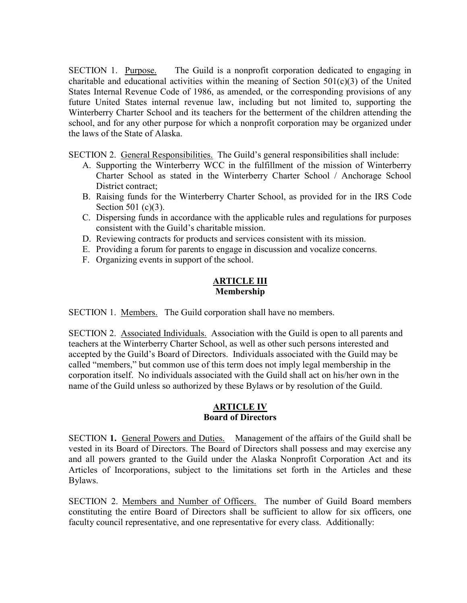SECTION 1. Purpose. The Guild is a nonprofit corporation dedicated to engaging in charitable and educational activities within the meaning of Section  $501(c)(3)$  of the United States Internal Revenue Code of 1986, as amended, or the corresponding provisions of any future United States internal revenue law, including but not limited to, supporting the Winterberry Charter School and its teachers for the betterment of the children attending the school, and for any other purpose for which a nonprofit corporation may be organized under the laws of the State of Alaska.

SECTION 2. General Responsibilities. The Guild's general responsibilities shall include:

- A. Supporting the Winterberry WCC in the fulfillment of the mission of Winterberry Charter School as stated in the Winterberry Charter School / Anchorage School District contract:
- B. Raising funds for the Winterberry Charter School, as provided for in the IRS Code Section 501 (c)(3).
- C. Dispersing funds in accordance with the applicable rules and regulations for purposes consistent with the Guild's charitable mission.
- D. Reviewing contracts for products and services consistent with its mission.
- E. Providing a forum for parents to engage in discussion and vocalize concerns.
- F. Organizing events in support of the school.

## ARTICLE III Membership

SECTION 1. Members. The Guild corporation shall have no members.

SECTION 2. Associated Individuals. Association with the Guild is open to all parents and teachers at the Winterberry Charter School, as well as other such persons interested and accepted by the Guild's Board of Directors. Individuals associated with the Guild may be called "members," but common use of this term does not imply legal membership in the corporation itself. No individuals associated with the Guild shall act on his/her own in the name of the Guild unless so authorized by these Bylaws or by resolution of the Guild.

#### ARTICLE IV Board of Directors

SECTION 1. General Powers and Duties. Management of the affairs of the Guild shall be vested in its Board of Directors. The Board of Directors shall possess and may exercise any and all powers granted to the Guild under the Alaska Nonprofit Corporation Act and its Articles of Incorporations, subject to the limitations set forth in the Articles and these Bylaws.

SECTION 2. Members and Number of Officers. The number of Guild Board members constituting the entire Board of Directors shall be sufficient to allow for six officers, one faculty council representative, and one representative for every class. Additionally: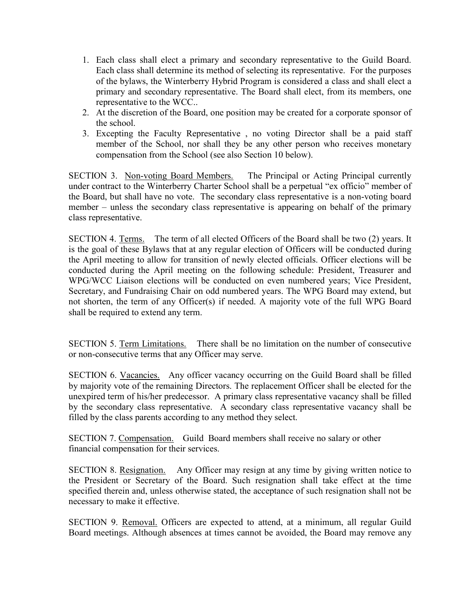- 1. Each class shall elect a primary and secondary representative to the Guild Board. Each class shall determine its method of selecting its representative. For the purposes of the bylaws, the Winterberry Hybrid Program is considered a class and shall elect a primary and secondary representative. The Board shall elect, from its members, one representative to the WCC..
- 2. At the discretion of the Board, one position may be created for a corporate sponsor of the school.
- 3. Excepting the Faculty Representative , no voting Director shall be a paid staff member of the School, nor shall they be any other person who receives monetary compensation from the School (see also Section 10 below).

SECTION 3. Non-voting Board Members. The Principal or Acting Principal currently under contract to the Winterberry Charter School shall be a perpetual "ex officio" member of the Board, but shall have no vote. The secondary class representative is a non-voting board member – unless the secondary class representative is appearing on behalf of the primary class representative.

SECTION 4. Terms. The term of all elected Officers of the Board shall be two (2) years. It is the goal of these Bylaws that at any regular election of Officers will be conducted during the April meeting to allow for transition of newly elected officials. Officer elections will be conducted during the April meeting on the following schedule: President, Treasurer and WPG/WCC Liaison elections will be conducted on even numbered years; Vice President, Secretary, and Fundraising Chair on odd numbered years. The WPG Board may extend, but not shorten, the term of any Officer(s) if needed. A majority vote of the full WPG Board shall be required to extend any term.

SECTION 5. Term Limitations. There shall be no limitation on the number of consecutive or non-consecutive terms that any Officer may serve.

SECTION 6. Vacancies. Any officer vacancy occurring on the Guild Board shall be filled by majority vote of the remaining Directors. The replacement Officer shall be elected for the unexpired term of his/her predecessor. A primary class representative vacancy shall be filled by the secondary class representative. A secondary class representative vacancy shall be filled by the class parents according to any method they select.

SECTION 7. Compensation. Guild Board members shall receive no salary or other financial compensation for their services.

SECTION 8. Resignation. Any Officer may resign at any time by giving written notice to the President or Secretary of the Board. Such resignation shall take effect at the time specified therein and, unless otherwise stated, the acceptance of such resignation shall not be necessary to make it effective.

SECTION 9. Removal. Officers are expected to attend, at a minimum, all regular Guild Board meetings. Although absences at times cannot be avoided, the Board may remove any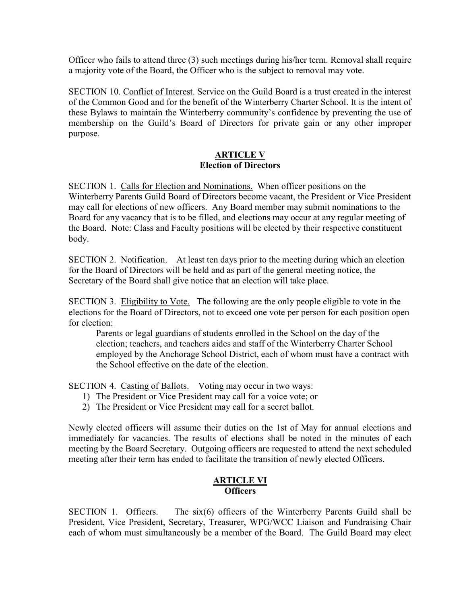Officer who fails to attend three (3) such meetings during his/her term. Removal shall require a majority vote of the Board, the Officer who is the subject to removal may vote.

SECTION 10. Conflict of Interest. Service on the Guild Board is a trust created in the interest of the Common Good and for the benefit of the Winterberry Charter School. It is the intent of these Bylaws to maintain the Winterberry community's confidence by preventing the use of membership on the Guild's Board of Directors for private gain or any other improper purpose.

#### ARTICLE V Election of Directors

SECTION 1. Calls for Election and Nominations. When officer positions on the Winterberry Parents Guild Board of Directors become vacant, the President or Vice President may call for elections of new officers. Any Board member may submit nominations to the Board for any vacancy that is to be filled, and elections may occur at any regular meeting of the Board. Note: Class and Faculty positions will be elected by their respective constituent body.

SECTION 2. Notification. At least ten days prior to the meeting during which an election for the Board of Directors will be held and as part of the general meeting notice, the Secretary of the Board shall give notice that an election will take place.

SECTION 3. Eligibility to Vote. The following are the only people eligible to vote in the elections for the Board of Directors, not to exceed one vote per person for each position open for election:

Parents or legal guardians of students enrolled in the School on the day of the election; teachers, and teachers aides and staff of the Winterberry Charter School employed by the Anchorage School District, each of whom must have a contract with the School effective on the date of the election.

SECTION 4. Casting of Ballots. Voting may occur in two ways:

- 1) The President or Vice President may call for a voice vote; or
- 2) The President or Vice President may call for a secret ballot.

Newly elected officers will assume their duties on the 1st of May for annual elections and immediately for vacancies. The results of elections shall be noted in the minutes of each meeting by the Board Secretary. Outgoing officers are requested to attend the next scheduled meeting after their term has ended to facilitate the transition of newly elected Officers.

#### ARTICLE VI **Officers**

SECTION 1. Officers. The six(6) officers of the Winterberry Parents Guild shall be President, Vice President, Secretary, Treasurer, WPG/WCC Liaison and Fundraising Chair each of whom must simultaneously be a member of the Board. The Guild Board may elect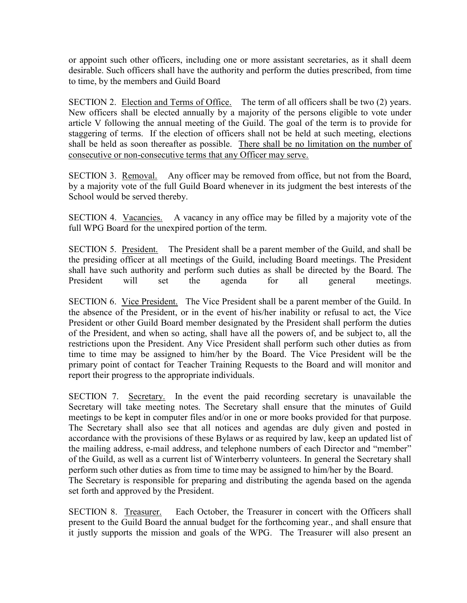or appoint such other officers, including one or more assistant secretaries, as it shall deem desirable. Such officers shall have the authority and perform the duties prescribed, from time to time, by the members and Guild Board

SECTION 2. Election and Terms of Office. The term of all officers shall be two (2) years. New officers shall be elected annually by a majority of the persons eligible to vote under article V following the annual meeting of the Guild. The goal of the term is to provide for staggering of terms. If the election of officers shall not be held at such meeting, elections shall be held as soon thereafter as possible. There shall be no limitation on the number of consecutive or non-consecutive terms that any Officer may serve.

SECTION 3. Removal. Any officer may be removed from office, but not from the Board, by a majority vote of the full Guild Board whenever in its judgment the best interests of the School would be served thereby.

SECTION 4. Vacancies. A vacancy in any office may be filled by a majority vote of the full WPG Board for the unexpired portion of the term.

SECTION 5. President. The President shall be a parent member of the Guild, and shall be the presiding officer at all meetings of the Guild, including Board meetings. The President shall have such authority and perform such duties as shall be directed by the Board. The President will set the agenda for all general meetings.

SECTION 6. Vice President. The Vice President shall be a parent member of the Guild. In the absence of the President, or in the event of his/her inability or refusal to act, the Vice President or other Guild Board member designated by the President shall perform the duties of the President, and when so acting, shall have all the powers of, and be subject to, all the restrictions upon the President. Any Vice President shall perform such other duties as from time to time may be assigned to him/her by the Board. The Vice President will be the primary point of contact for Teacher Training Requests to the Board and will monitor and report their progress to the appropriate individuals.

SECTION 7. Secretary. In the event the paid recording secretary is unavailable the Secretary will take meeting notes. The Secretary shall ensure that the minutes of Guild meetings to be kept in computer files and/or in one or more books provided for that purpose. The Secretary shall also see that all notices and agendas are duly given and posted in accordance with the provisions of these Bylaws or as required by law, keep an updated list of the mailing address, e-mail address, and telephone numbers of each Director and "member" of the Guild, as well as a current list of Winterberry volunteers. In general the Secretary shall perform such other duties as from time to time may be assigned to him/her by the Board. The Secretary is responsible for preparing and distributing the agenda based on the agenda set forth and approved by the President.

SECTION 8. Treasurer. Each October, the Treasurer in concert with the Officers shall present to the Guild Board the annual budget for the forthcoming year., and shall ensure that it justly supports the mission and goals of the WPG. The Treasurer will also present an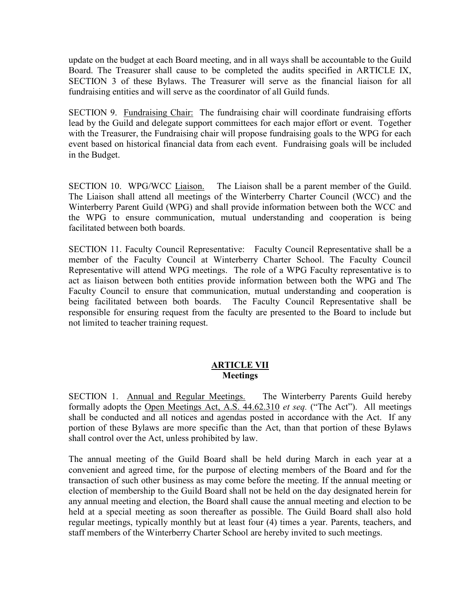update on the budget at each Board meeting, and in all ways shall be accountable to the Guild Board. The Treasurer shall cause to be completed the audits specified in ARTICLE IX, SECTION 3 of these Bylaws. The Treasurer will serve as the financial liaison for all fundraising entities and will serve as the coordinator of all Guild funds.

SECTION 9. Fundraising Chair: The fundraising chair will coordinate fundraising efforts lead by the Guild and delegate support committees for each major effort or event. Together with the Treasurer, the Fundraising chair will propose fundraising goals to the WPG for each event based on historical financial data from each event. Fundraising goals will be included in the Budget.

SECTION 10. WPG/WCC Liaison. The Liaison shall be a parent member of the Guild. The Liaison shall attend all meetings of the Winterberry Charter Council (WCC) and the Winterberry Parent Guild (WPG) and shall provide information between both the WCC and the WPG to ensure communication, mutual understanding and cooperation is being facilitated between both boards.

SECTION 11. Faculty Council Representative: Faculty Council Representative shall be a member of the Faculty Council at Winterberry Charter School. The Faculty Council Representative will attend WPG meetings. The role of a WPG Faculty representative is to act as liaison between both entities provide information between both the WPG and The Faculty Council to ensure that communication, mutual understanding and cooperation is being facilitated between both boards. The Faculty Council Representative shall be responsible for ensuring request from the faculty are presented to the Board to include but not limited to teacher training request.

#### ARTICLE VII **Meetings**

SECTION 1. Annual and Regular Meetings. The Winterberry Parents Guild hereby formally adopts the Open Meetings Act, A.S. 44.62.310 et seq. ("The Act"). All meetings shall be conducted and all notices and agendas posted in accordance with the Act. If any portion of these Bylaws are more specific than the Act, than that portion of these Bylaws shall control over the Act, unless prohibited by law.

The annual meeting of the Guild Board shall be held during March in each year at a convenient and agreed time, for the purpose of electing members of the Board and for the transaction of such other business as may come before the meeting. If the annual meeting or election of membership to the Guild Board shall not be held on the day designated herein for any annual meeting and election, the Board shall cause the annual meeting and election to be held at a special meeting as soon thereafter as possible. The Guild Board shall also hold regular meetings, typically monthly but at least four (4) times a year. Parents, teachers, and staff members of the Winterberry Charter School are hereby invited to such meetings.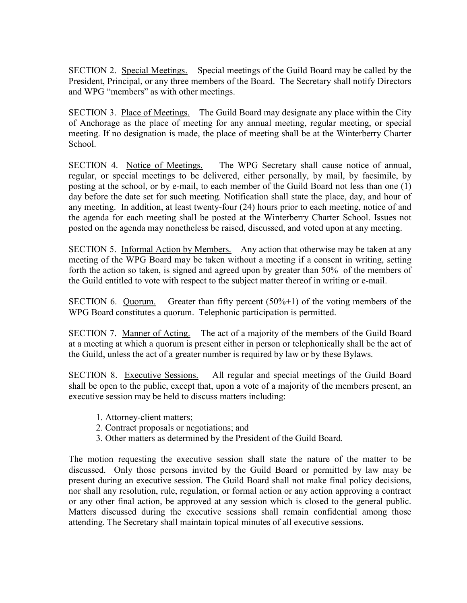SECTION 2. Special Meetings. Special meetings of the Guild Board may be called by the President, Principal, or any three members of the Board. The Secretary shall notify Directors and WPG "members" as with other meetings.

SECTION 3. Place of Meetings. The Guild Board may designate any place within the City of Anchorage as the place of meeting for any annual meeting, regular meeting, or special meeting. If no designation is made, the place of meeting shall be at the Winterberry Charter School.

SECTION 4. Notice of Meetings. The WPG Secretary shall cause notice of annual, regular, or special meetings to be delivered, either personally, by mail, by facsimile, by posting at the school, or by e-mail, to each member of the Guild Board not less than one (1) day before the date set for such meeting. Notification shall state the place, day, and hour of any meeting. In addition, at least twenty-four (24) hours prior to each meeting, notice of and the agenda for each meeting shall be posted at the Winterberry Charter School. Issues not posted on the agenda may nonetheless be raised, discussed, and voted upon at any meeting.

SECTION 5. Informal Action by Members. Any action that otherwise may be taken at any meeting of the WPG Board may be taken without a meeting if a consent in writing, setting forth the action so taken, is signed and agreed upon by greater than 50% of the members of the Guild entitled to vote with respect to the subject matter thereof in writing or e-mail.

SECTION 6. Quorum. Greater than fifty percent (50%+1) of the voting members of the WPG Board constitutes a quorum. Telephonic participation is permitted.

SECTION 7. Manner of Acting. The act of a majority of the members of the Guild Board at a meeting at which a quorum is present either in person or telephonically shall be the act of the Guild, unless the act of a greater number is required by law or by these Bylaws.

SECTION 8. Executive Sessions. All regular and special meetings of the Guild Board shall be open to the public, except that, upon a vote of a majority of the members present, an executive session may be held to discuss matters including:

- 1. Attorney-client matters;
- 2. Contract proposals or negotiations; and
- 3. Other matters as determined by the President of the Guild Board.

The motion requesting the executive session shall state the nature of the matter to be discussed. Only those persons invited by the Guild Board or permitted by law may be present during an executive session. The Guild Board shall not make final policy decisions, nor shall any resolution, rule, regulation, or formal action or any action approving a contract or any other final action, be approved at any session which is closed to the general public. Matters discussed during the executive sessions shall remain confidential among those attending. The Secretary shall maintain topical minutes of all executive sessions.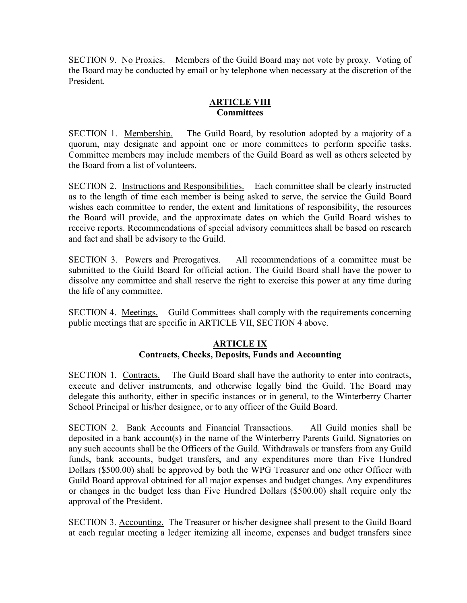SECTION 9. No Proxies. Members of the Guild Board may not vote by proxy. Voting of the Board may be conducted by email or by telephone when necessary at the discretion of the President.

# **ARTICLE VIII Committees**

SECTION 1. Membership. The Guild Board, by resolution adopted by a majority of a quorum, may designate and appoint one or more committees to perform specific tasks. Committee members may include members of the Guild Board as well as others selected by the Board from a list of volunteers.

SECTION 2. Instructions and Responsibilities. Each committee shall be clearly instructed as to the length of time each member is being asked to serve, the service the Guild Board wishes each committee to render, the extent and limitations of responsibility, the resources the Board will provide, and the approximate dates on which the Guild Board wishes to receive reports. Recommendations of special advisory committees shall be based on research and fact and shall be advisory to the Guild.

SECTION 3. Powers and Prerogatives. All recommendations of a committee must be submitted to the Guild Board for official action. The Guild Board shall have the power to dissolve any committee and shall reserve the right to exercise this power at any time during the life of any committee.

SECTION 4. Meetings. Guild Committees shall comply with the requirements concerning public meetings that are specific in ARTICLE VII, SECTION 4 above.

## ARTICLE IX Contracts, Checks, Deposits, Funds and Accounting

SECTION 1. Contracts. The Guild Board shall have the authority to enter into contracts, execute and deliver instruments, and otherwise legally bind the Guild. The Board may delegate this authority, either in specific instances or in general, to the Winterberry Charter School Principal or his/her designee, or to any officer of the Guild Board.

SECTION 2. Bank Accounts and Financial Transactions. All Guild monies shall be deposited in a bank account(s) in the name of the Winterberry Parents Guild. Signatories on any such accounts shall be the Officers of the Guild. Withdrawals or transfers from any Guild funds, bank accounts, budget transfers, and any expenditures more than Five Hundred Dollars (\$500.00) shall be approved by both the WPG Treasurer and one other Officer with Guild Board approval obtained for all major expenses and budget changes. Any expenditures or changes in the budget less than Five Hundred Dollars (\$500.00) shall require only the approval of the President.

SECTION 3. Accounting. The Treasurer or his/her designee shall present to the Guild Board at each regular meeting a ledger itemizing all income, expenses and budget transfers since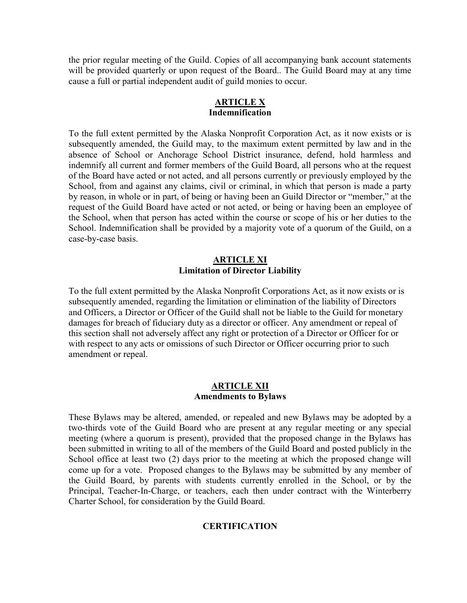the prior regular meeting of the Guild. Copies of all accompanying bank account statements will be provided quarterly or upon request of the Board.. The Guild Board may at any time cause a full or partial independent audit of guild monies to occur.

#### ARTICLE X Indemnification

To the full extent permitted by the Alaska Nonprofit Corporation Act, as it now exists or is subsequently amended, the Guild may, to the maximum extent permitted by law and in the absence of School or Anchorage School District insurance, defend, hold harmless and indemnify all current and former members of the Guild Board, all persons who at the request of the Board have acted or not acted, and all persons currently or previously employed by the School, from and against any claims, civil or criminal, in which that person is made a party by reason, in whole or in part, of being or having been an Guild Director or "member," at the request of the Guild Board have acted or not acted, or being or having been an employee of the School, when that person has acted within the course or scope of his or her duties to the School. Indemnification shall be provided by a majority vote of a quorum of the Guild, on a case-by-case basis.

#### ARTICLE XI Limitation of Director Liability

To the full extent permitted by the Alaska Nonprofit Corporations Act, as it now exists or is subsequently amended, regarding the limitation or elimination of the liability of Directors and Officers, a Director or Officer of the Guild shall not be liable to the Guild for monetary damages for breach of fiduciary duty as a director or officer. Any amendment or repeal of this section shall not adversely affect any right or protection of a Director or Officer for or with respect to any acts or omissions of such Director or Officer occurring prior to such amendment or repeal.

#### ARTICLE XII Amendments to Bylaws

These Bylaws may be altered, amended, or repealed and new Bylaws may be adopted by a two-thirds vote of the Guild Board who are present at any regular meeting or any special meeting (where a quorum is present), provided that the proposed change in the Bylaws has been submitted in writing to all of the members of the Guild Board and posted publicly in the School office at least two (2) days prior to the meeting at which the proposed change will come up for a vote. Proposed changes to the Bylaws may be submitted by any member of the Guild Board, by parents with students currently enrolled in the School, or by the Principal, Teacher-In-Charge, or teachers, each then under contract with the Winterberry Charter School, for consideration by the Guild Board.

## **CERTIFICATION**